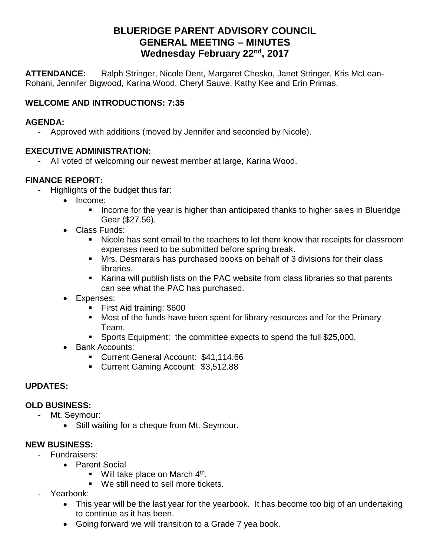# **BLUERIDGE PARENT ADVISORY COUNCIL GENERAL MEETING – MINUTES Wednesday February 22nd, 2017**

**ATTENDANCE:** Ralph Stringer, Nicole Dent, Margaret Chesko, Janet Stringer, Kris McLean-Rohani, Jennifer Bigwood, Karina Wood, Cheryl Sauve, Kathy Kee and Erin Primas.

## **WELCOME AND INTRODUCTIONS: 7:35**

#### **AGENDA:**

- Approved with additions (moved by Jennifer and seconded by Nicole).

### **EXECUTIVE ADMINISTRATION:**

All voted of welcoming our newest member at large, Karina Wood.

## **FINANCE REPORT:**

- Highlights of the budget thus far:
	- Income:
		- **E** Income for the year is higher than anticipated thanks to higher sales in Blueridge Gear (\$27.56).
	- Class Funds:
		- Nicole has sent email to the teachers to let them know that receipts for classroom expenses need to be submitted before spring break.
		- Mrs. Desmarais has purchased books on behalf of 3 divisions for their class libraries.
		- Karina will publish lists on the PAC website from class libraries so that parents can see what the PAC has purchased.
	- Expenses:
		- First Aid training: \$600
		- Most of the funds have been spent for library resources and for the Primary Team.
		- Sports Equipment: the committee expects to spend the full \$25,000.
	- Bank Accounts:
		- Current General Account: \$41,114.66
		- Current Gaming Account: \$3,512.88

## **UPDATES:**

#### **OLD BUSINESS:**

- Mt. Seymour:
	- Still waiting for a cheque from Mt. Seymour.

## **NEW BUSINESS:**

- Fundraisers:
	- Parent Social
		- $\blacksquare$  Will take place on March 4<sup>th</sup>.
		- We still need to sell more tickets.
- Yearbook:
	- This year will be the last year for the yearbook. It has become too big of an undertaking to continue as it has been.
	- Going forward we will transition to a Grade 7 yea book.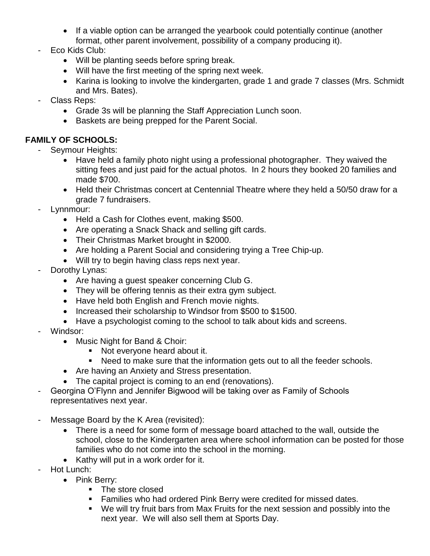- If a viable option can be arranged the yearbook could potentially continue (another format, other parent involvement, possibility of a company producing it).
- Eco Kids Club:
	- Will be planting seeds before spring break.
	- Will have the first meeting of the spring next week.
	- Karina is looking to involve the kindergarten, grade 1 and grade 7 classes (Mrs. Schmidt and Mrs. Bates).
- Class Reps:
	- Grade 3s will be planning the Staff Appreciation Lunch soon.
	- Baskets are being prepped for the Parent Social.

## **FAMILY OF SCHOOLS:**

- Seymour Heights:
	- Have held a family photo night using a professional photographer. They waived the sitting fees and just paid for the actual photos. In 2 hours they booked 20 families and made \$700.
	- Held their Christmas concert at Centennial Theatre where they held a 50/50 draw for a grade 7 fundraisers.
- Lynnmour:
	- Held a Cash for Clothes event, making \$500.
	- Are operating a Snack Shack and selling gift cards.
	- Their Christmas Market brought in \$2000.
	- Are holding a Parent Social and considering trying a Tree Chip-up.
	- Will try to begin having class reps next year.
- Dorothy Lynas:
	- Are having a guest speaker concerning Club G.
	- They will be offering tennis as their extra gym subject.
	- Have held both English and French movie nights.
	- Increased their scholarship to Windsor from \$500 to \$1500.
	- Have a psychologist coming to the school to talk about kids and screens.
- Windsor:
	- Music Night for Band & Choir:
		- Not everyone heard about it.
		- Need to make sure that the information gets out to all the feeder schools.
	- Are having an Anxiety and Stress presentation.
	- The capital project is coming to an end (renovations).
- Georgina O'Flynn and Jennifer Bigwood will be taking over as Family of Schools representatives next year.
- Message Board by the K Area (revisited):
	- There is a need for some form of message board attached to the wall, outside the school, close to the Kindergarten area where school information can be posted for those families who do not come into the school in the morning.
	- Kathy will put in a work order for it.
- Hot Lunch:
	- Pink Berry:
		- The store closed
		- Families who had ordered Pink Berry were credited for missed dates.
		- We will try fruit bars from Max Fruits for the next session and possibly into the next year. We will also sell them at Sports Day.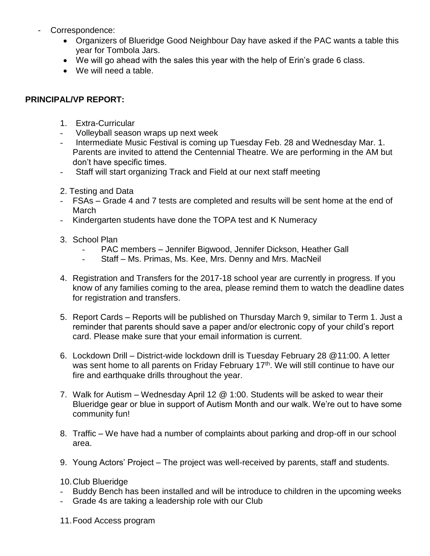- Correspondence:
	- Organizers of Blueridge Good Neighbour Day have asked if the PAC wants a table this year for Tombola Jars.
	- We will go ahead with the sales this year with the help of Erin's grade 6 class.
	- We will need a table.

### **PRINCIPAL/VP REPORT:**

- 1. Extra-Curricular
- Volleyball season wraps up next week
- Intermediate Music Festival is coming up Tuesday Feb. 28 and Wednesday Mar. 1. Parents are invited to attend the Centennial Theatre. We are performing in the AM but don't have specific times.
- Staff will start organizing Track and Field at our next staff meeting
- 2. Testing and Data
- FSAs Grade 4 and 7 tests are completed and results will be sent home at the end of March
- Kindergarten students have done the TOPA test and K Numeracy
- 3. School Plan
	- PAC members Jennifer Bigwood, Jennifer Dickson, Heather Gall
	- Staff Ms. Primas, Ms. Kee, Mrs. Denny and Mrs. MacNeil
- 4. Registration and Transfers for the 2017-18 school year are currently in progress. If you know of any families coming to the area, please remind them to watch the deadline dates for registration and transfers.
- 5. Report Cards Reports will be published on Thursday March 9, similar to Term 1. Just a reminder that parents should save a paper and/or electronic copy of your child's report card. Please make sure that your email information is current.
- 6. Lockdown Drill District-wide lockdown drill is Tuesday February 28 @11:00. A letter was sent home to all parents on Friday February 17<sup>th</sup>. We will still continue to have our fire and earthquake drills throughout the year.
- 7. Walk for Autism Wednesday April 12 @ 1:00. Students will be asked to wear their Blueridge gear or blue in support of Autism Month and our walk. We're out to have some community fun!
- 8. Traffic We have had a number of complaints about parking and drop-off in our school area.
- 9. Young Actors' Project The project was well-received by parents, staff and students.

#### 10.Club Blueridge

- Buddy Bench has been installed and will be introduce to children in the upcoming weeks
- Grade 4s are taking a leadership role with our Club
- 11.Food Access program